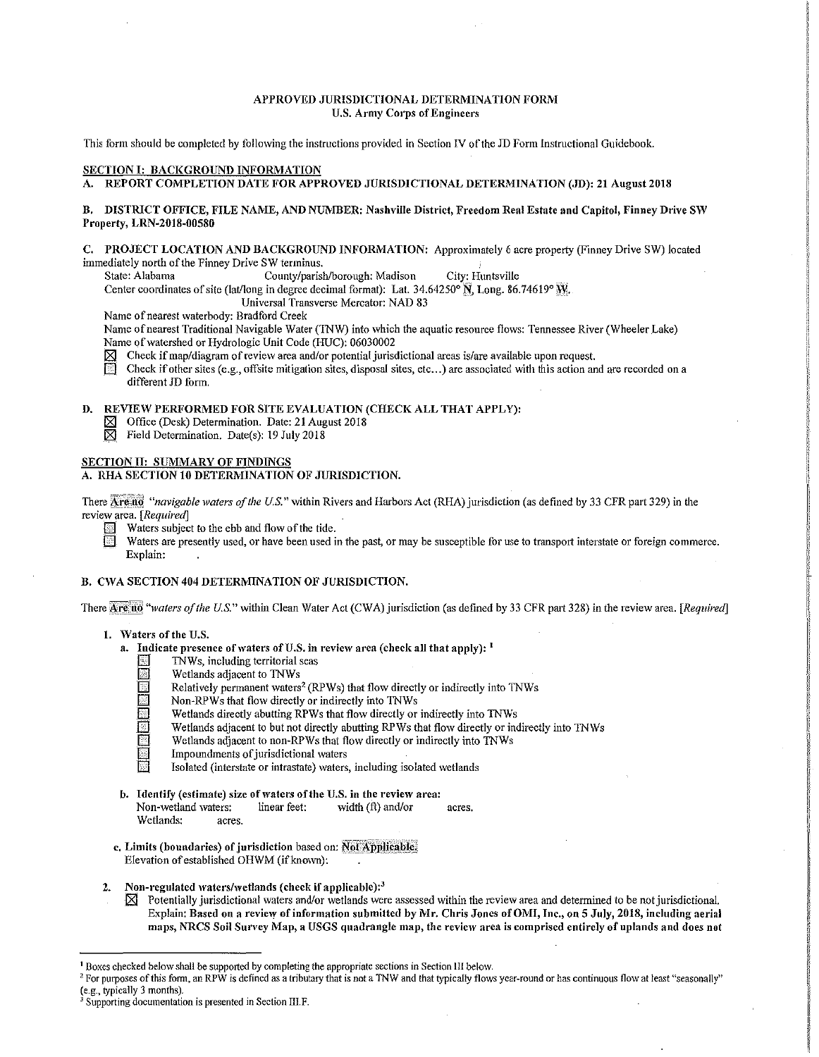#### APPROVED JURISDICTIONAL DETERMINATION FORM U.S. Army Corps of Engineers

This form should be completed by following the instructions provided in Section IV of the JD Form Instructional Guidebook.

#### SECTION I: BACKGROUND INFORMATION

A. REPORT COMPLETION DATE FOR APPROVED JURISDICTIONAL DETEMIINA TION (JD): 21 August 2018

## B. DISTRICT OFFICE, FILE NAME, AND NUMBER: Nashville District, Freedom Real Estate and Capitol, Finney Drive SW Property, LRN-2018-00580

C. PROJECT LOCATION AND BACKGROUND INFORMATION: Approximately 6 acre property (Finney Drive SW) located immediately north of the Finney Drive SW terminus.<br>State: Alabama County/parish

County/parish/borough: Madison City: Huntsville

Center coordinates of site (lat/long in degree decimal format): Lat. 34.64250°  $\tilde{N}$ , Long. 86.74619°  $\tilde{W}$ ;.

Universal Transverse Mercator: NAD 83

Name of nearest waterbody: Bradford Creek

Name of nearest Traditional Navigable Water (TNW) into which the aquatic resource flows: Tennessee River (Wheeler Lake) Name of watershed or Hydrologic Unit Code (IIDC): 06030002

Check if map/diagram of review area and/or potential jurisdictional areas is/are available upon request.<br>
Check if other sites (e.g., offsite mitigation sites, disposal sites, etc...) are associated with this action an

Check if other sites (e.g., offsite mitigation sites, disposal sites, etc...) are associated with this action and are recorded on a different JD form.

# D. REVIEW PERFORMED FOR SITE EVALUATION (CHECK ALL THAT APPLY):<br>  $\boxtimes$  Office (Desk) Determination. Date: 21 August 2018

- $\boxtimes$  Office (Desk) Determination. Date: 21 August 2018<br>  $\boxtimes$  Field Determination. Date(s): 19 July 2018
- Field Determination. Date(s): 19 July 2018

#### SECTION II: SUMMARY OF FINDINGS

## A. RHA SECTION 10 DETERMINATION OF JURISDICTION.

There  $\overline{Area}$  "*navigable waters of the U.S.*" within Rivers and Harbors Act (RHA) jurisdiction (as defined by 33 CFR part 329) in the review area. *[Required]* 

Waters subject to the ebb and flow of the tide.

Waters are presently used, or have been used in the past, or may be susceptible for use to transport interstate or foreign commerce. Explain:

#### B. CWA SECTION 404 DETERMINATION OF JURISDICTION.

There Are no "waters of the U.S." within Clean Water Act (CWA) jurisdiction (as defined by 33 CFR part 328) in the review area. *[Required]* 

#### 1. \Vaters of the U.S.

- a. Indicate presence of waters of U.S. in review area (check all that apply):  $<sup>1</sup>$ </sup>
	- TNWs, including territorial seas
	- Wetlands adjacent to TNWs
	- Relatively permanent waters<sup>2</sup> (RPWs) that flow directly or indirectly into TNWs
	- Non-RPWs that flow directly or indirectly into TNWs
	- Wetlands directly abutting RPWs that flow directly or indirectly into TNWs
	- Wetlands adjacent to but not directly abutting RPWs that flow directly or indirectly into TNWs
	- Wetlands adjacent to non-RPWs that flow directly or indirectly into TNWs
	- § Impoundments of jurisdictional waters
	- Isolated (interstate or intrastate) waters, including isolated wetlands
- b. Identify (estimate) size of waters of the U.S. in the review area:<br>Non-wetland waters: linear feet: width  $(ft)$  and/or Non-wetland waters: linear feet:  $width (ft) and/or arcs.$ 
	- Wetlands: acres.
- c. Limits (boundaries) of jurisdiction based on: Not Applicable. Elevation of established OHWM (if known):
- 2. Non-regulated waters/wetlands (check if applicable): $3$ 
	- $\boxtimes$  Potentially jurisdictional waters and/or wetlands were assessed within the review area and determined to be not jurisdictional. Explain: Based on a review of information submitted by Mr. Chris Jones of OMI, Inc., on 5 July, 2018, including aerial maps, NRCS Soil Survey Map, a USGS quadrangle map, the review area is comprised entirely of uplands and does not

<sup>&</sup>lt;sup>1</sup> Boxes checked below shall be supported by completing the appropriate sections in Section III below.<br><sup>2</sup> For purposes of this form, an RPW is defined as a tributary that is not a TNW and that typically flows year-round

 $\frac{3}{3}$  Supporting documentation is presented in Section III.F.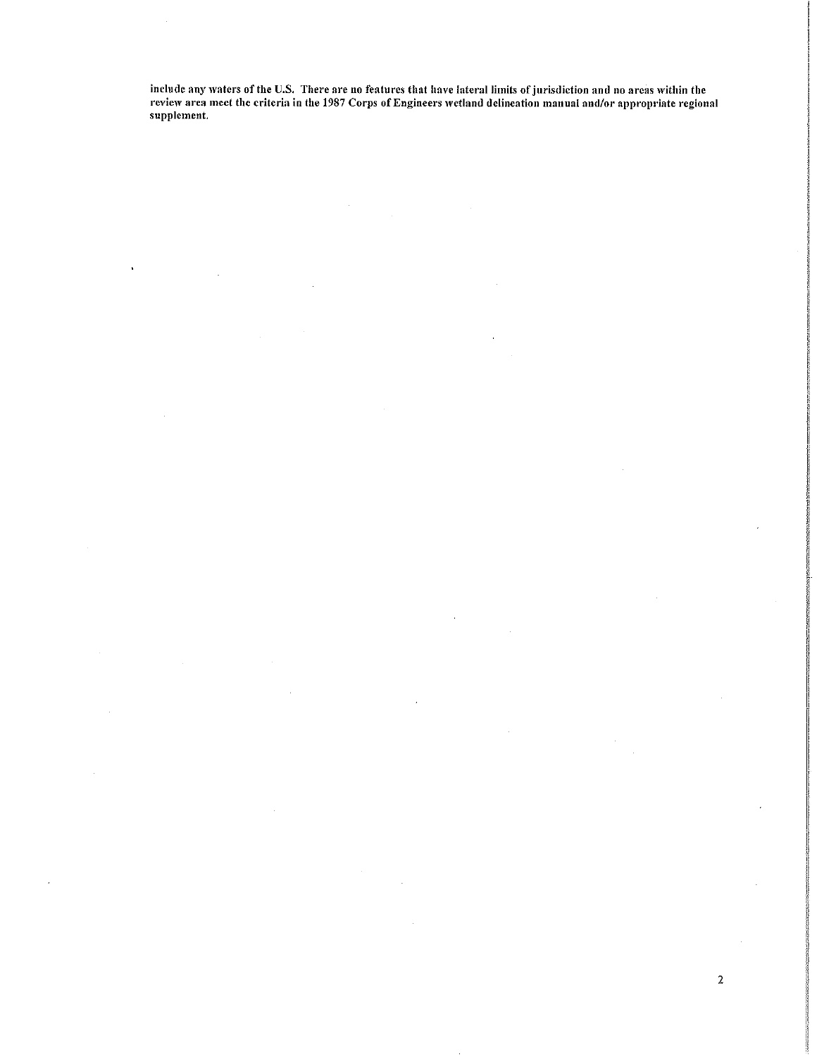include any waters of the U.S. There are no features that have lateral limits of jurisdiction and no areas within the review area meet the criteria in the 1987 Corps of Engineers wetland delineation manual and/or appropriate regional supplement.

j

2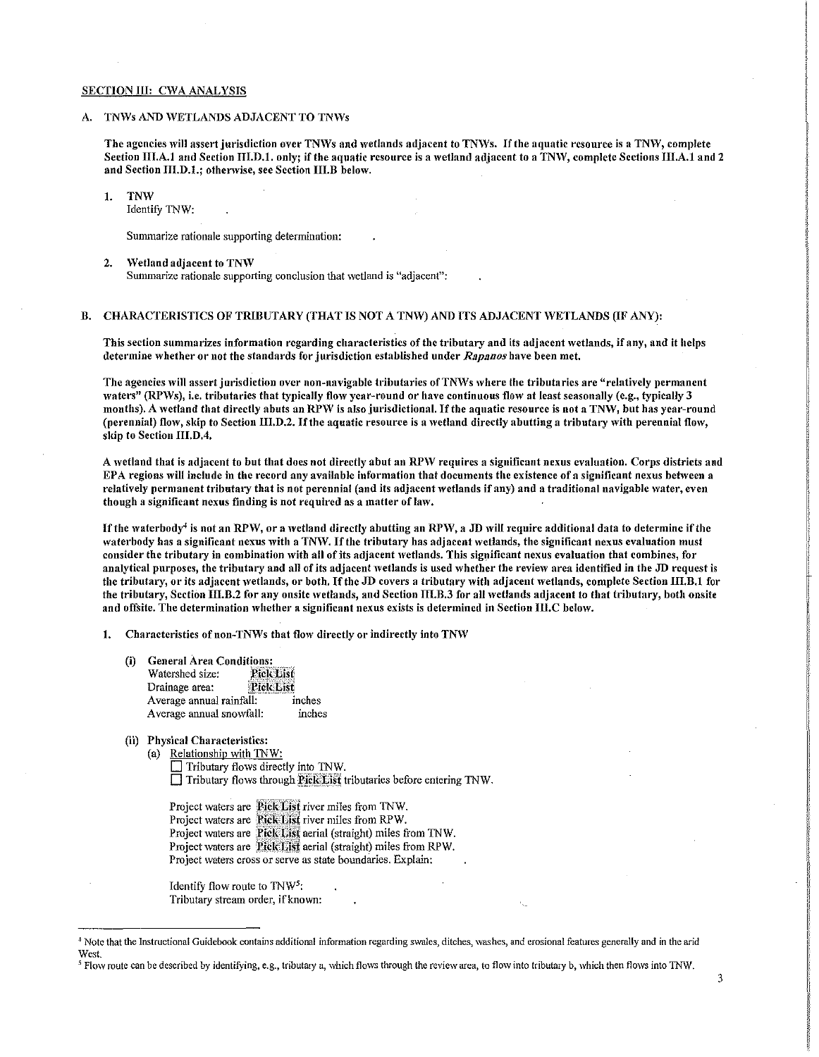#### SECTION III: CWA ANALYSIS

#### A. TNWs AND WETLANDS ADJACENT TO TNWs

The agencies will assert jurisdiction over TNWs and wetlands adjacent to TNWs. If the aquatic resource is a TNW, complete Section III.A.1 and Section III.D.1. only; if the aquatic resource is a wetland adjacent to a TNW, complete Sections III.A.1 and 2 and Section III.D.1.; otherwise, see Section III.B below.

!. TNW

Identify TNW:

Summarize rationale supporting determination:

2. Wetland adjacent to TNW Summarize rationale supporting conclusion that wetland is "adjacent":

## B. CHARACTERISTICS OF TRIBUTARY (THAT IS NOT A TNW) AND ITS ADJACENT WETLANDS (IF ANY):

This section summarizes information regarding characteristics of the tributary and its adjacent wetlands, if any, and it helps determine '\vhether or not the standards for jurisdiction established under *Rapn11os* have been met.

The agencies will assert jurisdiction over non-navigable tributaries of TNWs where the tributaries are "relatively permanent waters" (RPWs), i.e. tributaries that typically flow year-round or have continuous flow at least seasonally (e.g., typically 3 months). A wetland that directly abuts an RPW is also jurisdictional. If the aquatic resource is not a TNW, but has year-round (perennial) flow, skip to Section III.D.2. If the aquatic resource is a wetland directly abutting a tributary with perennial flow, skip to Section III.D.4.

A wetland that is adjacent to but that does not directly abut an RPW requires a significant nexus evaluation. Corps districts and EPA regions will include in the record any available information that documents the existence of a significant nexus between a relatively permanent tributary that is not perennial (and its adjacent wetlands if any) and a traditional navigable water, even though a significant nexus finding is not required as a matter of law.

If the waterbody<sup>4</sup> is not an RPW, or a wetland directly abutting an RPW, a JD will require additional data to determine if the waterbody has a significant nexus with a TNW. If the tributary has adjacent wetlands, the significant nexus evaluation must consider the tributary in combination with all of its adjacent wetlands. This significant nexus evaluation that combines, for analytical purposes, the tributary and all of its adjacent wetlands is used whether the review area identified in the JD request is the tributary, or its adjacent wetlands, or both. If the JD covers a tributary with adjacent wetlands, complete Section III.B.1 for the tributary, Section III.B.2 for any onsite wetlands, and Section III.B.3 for all wetlands adjacent to that tributary, both onsite and offsite. The determination whether a significant nexus exists is determined in Section III.C below.

1. Characteristics of non-TNWs that flow directly or indirectly into TNW

- (i) General Area Conditions:<br>Watershed size: Pick List Watershed size: Pick List<br>Drainage area: Pick List Drainage area: Average annual rainfall: inches Average annual snowfall: inches
- (ii) Physical Characteristics:
	- (a) Relationship with TNW:

Tributary flows directly into TNW.  $\Box$  Tributary flows through Pick List tributaries before entering TNW.

Project waters are Pick List river miles from TNW. Project waters are **Pick List** river miles from RPW. Project waters are **Pick List** aerial (straight) miles from TNW. Project waters are Pick List aerial (straight) miles from RPW. Project waters cross or serve as state boundaries. Explain:

Identify flow route to TNW5: Tributary stream order, if known:

<sup>4</sup> Note that the Instructional Guidebook contains additional infonnation regarding swales, ditches, washes, and erosional features generally and in the arid West.

<sup>&</sup>lt;sup>5</sup> Flow route can be described by identifying, e.g., tributary a, which flows through the review area, to flow into tributary b, which then flows into TNW.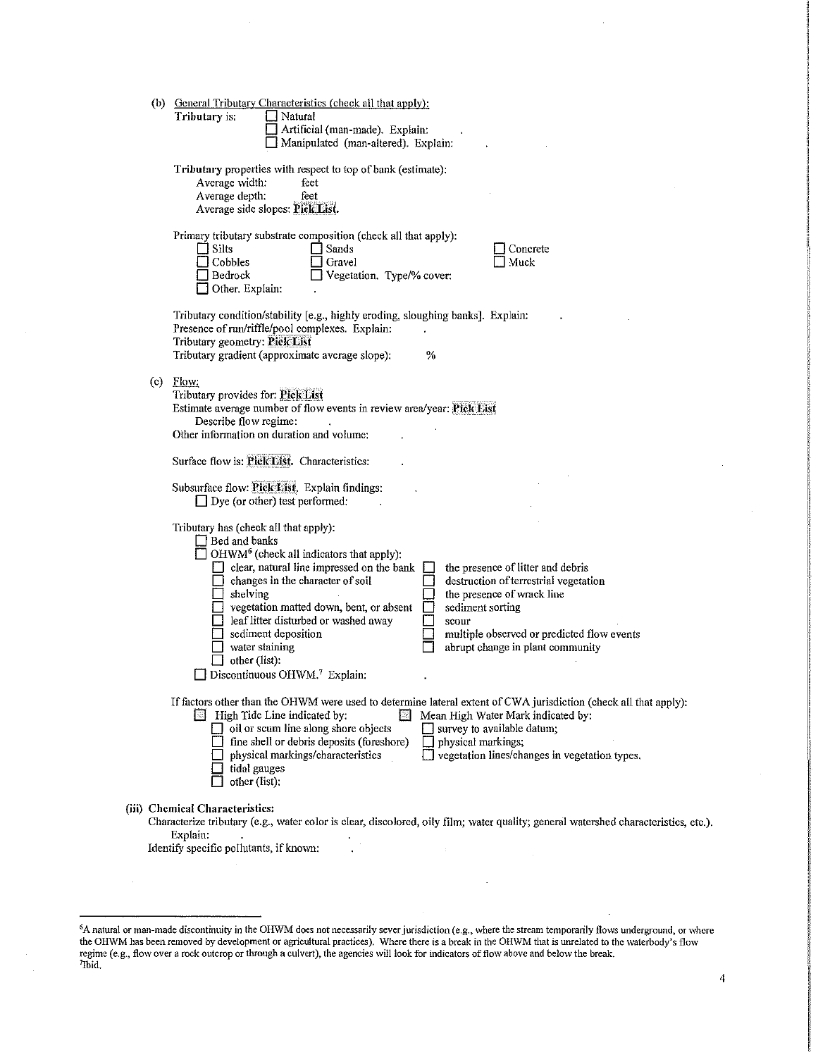|  | (b) General Tributary Characteristics (check all that apply):<br>Tributary is:<br>Natural<br>Artificial (man-made). Explain:<br>Manipulated (man-altered). Explain:                                                                                                                                                                                                                                                                                                                                                                                                                                                                                       |
|--|-----------------------------------------------------------------------------------------------------------------------------------------------------------------------------------------------------------------------------------------------------------------------------------------------------------------------------------------------------------------------------------------------------------------------------------------------------------------------------------------------------------------------------------------------------------------------------------------------------------------------------------------------------------|
|  | Tributary properties with respect to top of bank (estimate):<br>Average width:<br>feet<br>feet<br>Average depth:<br>Average side slopes: Pick List.                                                                                                                                                                                                                                                                                                                                                                                                                                                                                                       |
|  | Primary tributary substrate composition (check all that apply):<br><b>Silts</b><br>$\Box$ Sands<br>Concrete<br>$\Box$ Cobbles<br>Gravel<br>Muck<br>Vegetation. Type/% cover:<br>Bedrock<br>Other, Explain:                                                                                                                                                                                                                                                                                                                                                                                                                                                |
|  | Tributary condition/stability [e.g., highly eroding, sloughing banks]. Explain:<br>Presence of run/riffle/pool complexes. Explain:<br>Tributary geometry: Pick List<br>Tributary gradient (approximate average slope):<br>$\%$                                                                                                                                                                                                                                                                                                                                                                                                                            |
|  | $(c)$ Flow:<br>Tributary provides for: Pick List<br>Estimate average number of flow events in review area/year: Pick List<br>Describe flow regime:<br>Other information on duration and volume:                                                                                                                                                                                                                                                                                                                                                                                                                                                           |
|  | Surface flow is: Pick List. Characteristics:                                                                                                                                                                                                                                                                                                                                                                                                                                                                                                                                                                                                              |
|  | Subsurface flow: Pick List. Explain findings:<br>$\Box$ Dye (or other) test performed:                                                                                                                                                                                                                                                                                                                                                                                                                                                                                                                                                                    |
|  | Tributary has (check all that apply):<br>$\Box$ Bed and banks<br>$\Box$ OHWM <sup>6</sup> (check all indicators that apply):<br>$\Box$ clear, natural line impressed on the bank<br>the presence of litter and debris<br>destruction of terrestrial vegetation<br>$\Box$ changes in the character of soil<br>shelving<br>the presence of wrack line<br>vegetation matted down, bent, or absent<br>sediment sorting<br>eaf litter disturbed or washed away<br>scour<br>sediment deposition<br>multiple observed or predicted flow events<br>water staining<br>abrupt change in plant community<br>$\exists$ other (list):<br>Discontinuous OHWM.7 Explain: |
|  | If factors other than the OHWM were used to determine lateral extent of CWA jurisdiction (check all that apply):<br>$\Box$ High Tide Line indicated by:<br>FТ<br>Mean High Water Mark indicated by:<br>$\Box$ oil or scum line along shore objects<br>survey to available datum;<br>fine shell or debris deposits (foreshore)<br>physical markings;<br>physical markings/characteristics<br>$\Box$ vegetation lines/changes in vegetation types.<br>tidal gauges<br>other (list):                                                                                                                                                                         |
|  | (iii) Chemical Characteristics:<br>Characterize tributary (e.g., water color is clear, discolored, oily film; water quality; general watershed characteristics, etc.).<br>Explain:<br>Identify specific pollutants, if known:                                                                                                                                                                                                                                                                                                                                                                                                                             |

i.

<sup>&</sup>lt;sup>6</sup>A natural or man-made discontinuity in the OHWM does not necessarily sever jurisdiction (e.g., where the stream temporarily flows underground, or where the OHWM has been removed by development or agricultural practices). Where there is a break in the OHWM that is unrelated to the waterbody's flow regime (e.g., flow over a rock outcrop or through a culvert), the agencies will look for indicators of flow above and below the break.<br><sup>7</sup>Ibid.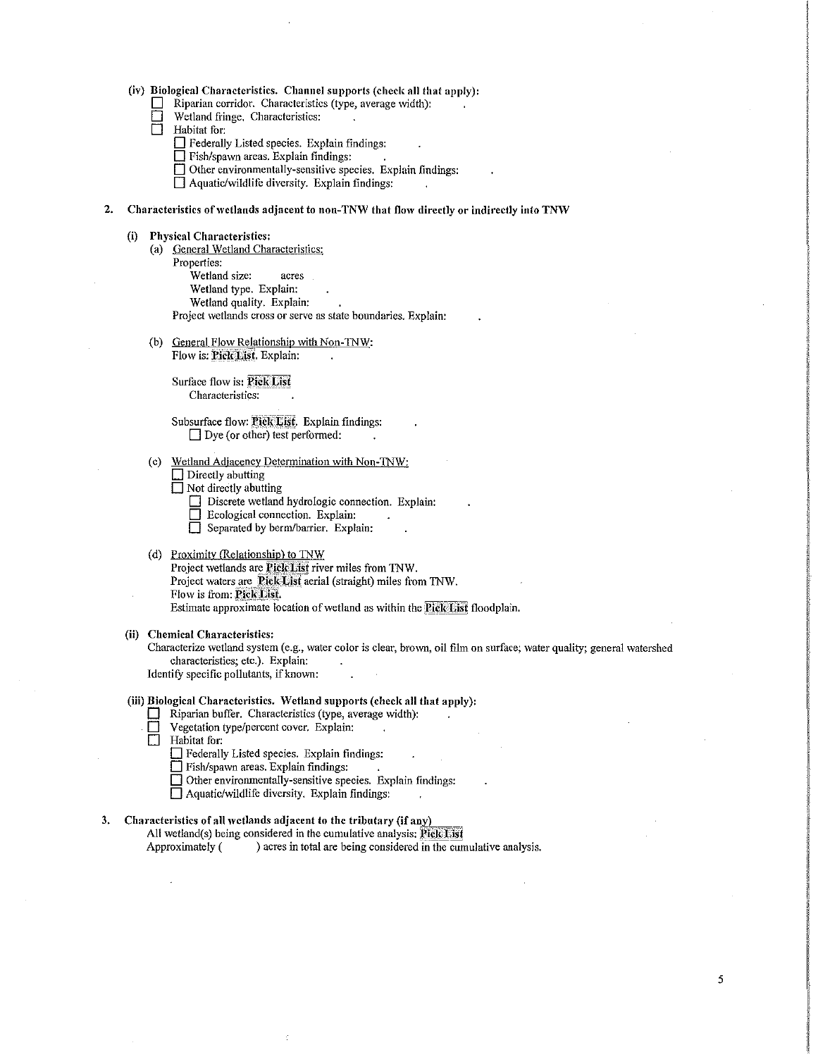## (iv) Biological Characteristics. Channel supports (check all that apply):<br> $\Box$  Rinarian corridor. Characteristics (type, average width):

- $\Box$  Riparian corridor. Characteristics (type, average width):<br> $\Box$  Wetland fringe. Characteristics:
- Wetland fringe. Characteristics:
- $\Box$  Habitat for:
	- D Federally Listed species. Explain findings:
	- $\Box$  Fish/spawn areas. Explain findings:  $\Box$ .
	- $\Box$  Other environmentally-sensitive species. Explain findings:
	- $\Box$  Aquatic/wildlife diversity. Explain findings:

## 2. Characteristics of wetlands adjacent to non-TNW that flow directly or indirectly into TNW

#### (i) Physical Characteristics:

- (a) General Wetland Characteristics:
- Properties:
	- Wetland size: acres
	- Wetland type. Explain:
	- Wetland quality. Explain:

Project wetlands cross or serve as state boundaries. Explain:

(b) General Flow Relationship with Non-TNW: Flow is: Pick List. Explain:

Surface flow is: Pick List Characteristics:

Subsurface flow: Pick List. Explain findings:  $\Box$  Dye (or other) test performed:

- ( c) Wetland Adjacency Determination with Non-TNW:
	- $\Box$  Directly abutting
	- Not directly abutting
		- Discrete wetland hydrologic connection. Explain:
		- $\Box$  Ecological connection. Explain:
		- Separated by berm/barrier. Explain:

## (d) Proximity (Relationship) to TNW

Project wetlands are Pick; List river miles from TNW. Project waters are Pick List aerial (straight) miles from TNW. Flow is from: Pick List. Estimate approximate location of wetland as within the Pick List floodplain.

#### (ii) Chemical Characteristics:

Characterize wetland system (e.g., water color is clear, brown, oil film on surface; water quality; general watershed characteristics; etc.). Explain:

Identify specific pollutants, if known:

## (iii) Biological Characteristics. \Vetland supports (check all that apply):

- $\Box$  Riparian buffer. Characteristics (type, average width):
- **D** Vegetation type/percent cover. Explain:<br> **D** Habitat for:
- Habitat for:
	- D Federally Listed species. Explain findings:
	- D Fish/spawn areas. Explain findings:
	- D Other environmentally-sensitive species. Explain findings:
	- D Aquatic/wildlife diversity. Explain findings:
	-

## 3. Characteristics of all wetlands adjacent to the tributary (if any)

All wetland(s) being considered in the cumulative analysis:  $PickList$ 

Approximately ( ) acres in total are being considered in the cumulative analysis.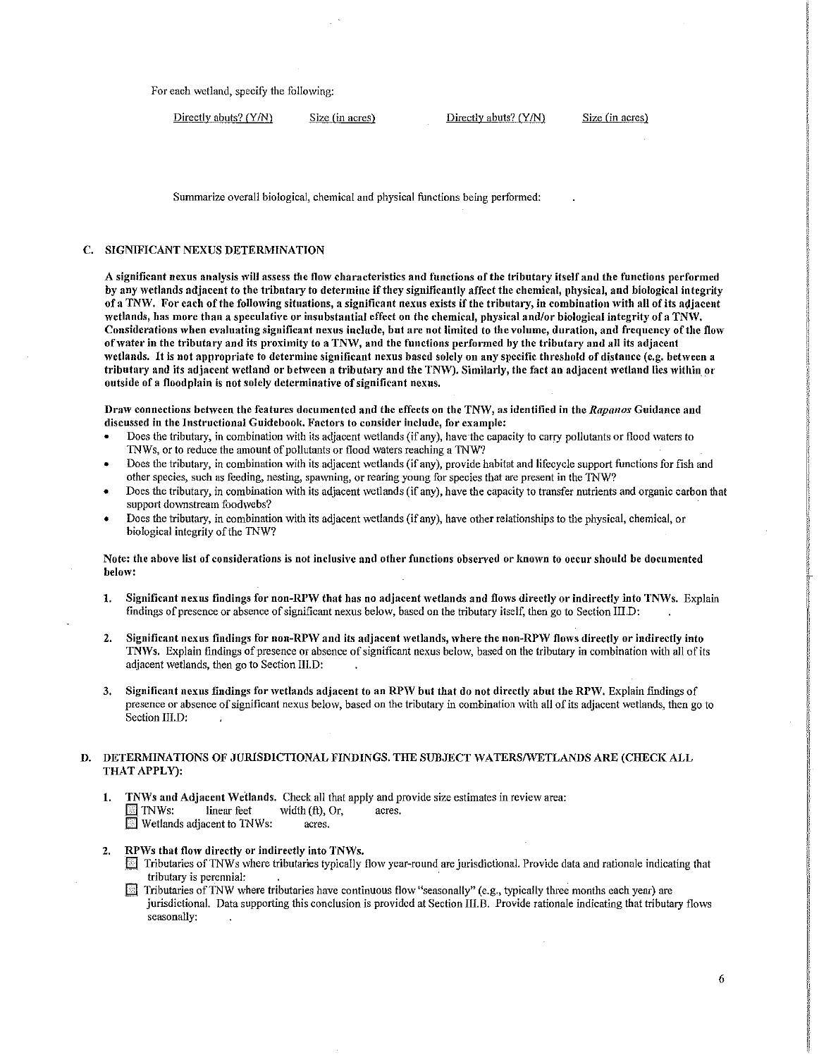For each wetland, specify the following:

| Directly abuts? (Y/N) | Size (in acres) | Directly abuts? (Y/N) | Size (in acres) |
|-----------------------|-----------------|-----------------------|-----------------|
|-----------------------|-----------------|-----------------------|-----------------|

Summarize overall biological, chemical and physical functions being perfonned:

## C. SIGNIFICANT NEXUS DETERMINATION

A significant nexus analysis will assess the flow characteristics and functions of the tributary itself and the functions performed by any wetlands adjacent to the tributary to determine if they significantly affect the chemical, physical, and biological integrity of a TNW. For each of the following situations, a significant nexus exists if the tributary, in combination with all of its adjaccnt wetlands, has more than a speculative or insubstantial effect on the chemical, physical and/or biological integrity of a TNW. Considerations when evaluating significant nexus include, but are not limited to the volume, duration, and frequency of the flow of water in the tributary and its proximity to a TNW, and the functions performed by the tributary and all its adjacent wetlands. It is not appropriate to determine significant nexus based solely on any specific threshold of distance (e.g. between a tributary and its adjacent wetland or between a tributary and the TNW). Similarly, the fact an adjacent wetland lies within or outside of a floodplain is not solely determinative of significant nexus.

Dra\V connections behveen the features documented and the effects on the TN\V, as identified in the *Rapanos* Guidance and discussed in the Instructional Guidebook. Factors to consider include, for example:

- Does the tributary, in combination with its adjacent wetlands (if any), have the capacity to carry pollutants or flood waters to TNWs, or to reduce the amount of pollutants or flood waters reaching a TNW?
- Does the tributary, in combination with its adjacent 'vetlands (if any), provide habitat and lifecycle support functions for fish and other species, such as feeding, nesting, spawning, or rearing young for species that are present in the TNW?
- Does the tributary, in combination with its adjacent wetlands (if any), have the capacity to transfer nutrients and organic carbon that support downstream foodwebs?
- Does the tributary, in combination with its adjacent wetlands (if any), have other relationships to the physical, chemical, or biological integrity of the TNW?

Note: the above list of considerations is not inclusive and other functions observed or known to occur should be documented below:

- 1. Significant nexus findings for non-RPW that has no adjacent wetlands and flows directly or indirectly into TNWs. Explain findings of presence or absence of significant nexus below, based on the tributary itself, then go to Section III.D:
- 2. Significant nexus findings for non-RPW and its adjacent wetlands, where the non-RPW flows directly or indirectly into TNWs. Explain findings of presence or absence of significant nexus below, based on the tributary in combination with all of its adjacent wetlands, then go to Section III.D:
- 3. Significant nexus findings for wetlands adjacent to an RPW but that do not directly abut the RPW. Explain findings of presence or absence of significant nexus below, based on the tributary in combination with all of its adjacent wetlands, then go to Section III.D:

#### D. DETERMINATIONS OF JURISDICTIONAL FINDINGS. THE SUBJECT WATERS/WETLANDS ARE (CHECK ALL THAT APPLY):

- 1. TNWs and Adjacent Wetlands. Check all that apply and provide size estimates in review area:  $\mathbb{F}$  TNWs: linear feet width (ft), Or, acres. **Wetlands adjacent to TNWs:** acres.
- 2. RPWs that flow directly or indirectly into TNWs.
	- $\Box$  Tributaries of TNWs where tributaries typically flow year-round are jurisdictional. Provide data and rationale indicating that tributary is perennial: .
	- $\blacksquare$  Tributaries of TNW where tributaries have continuous flow "seasonally" (e.g., typically three months each year) are jurisdictional. Data supporting this conclusion is provided at Section III.B. Provide rationale indicating that tributary flows seasonally: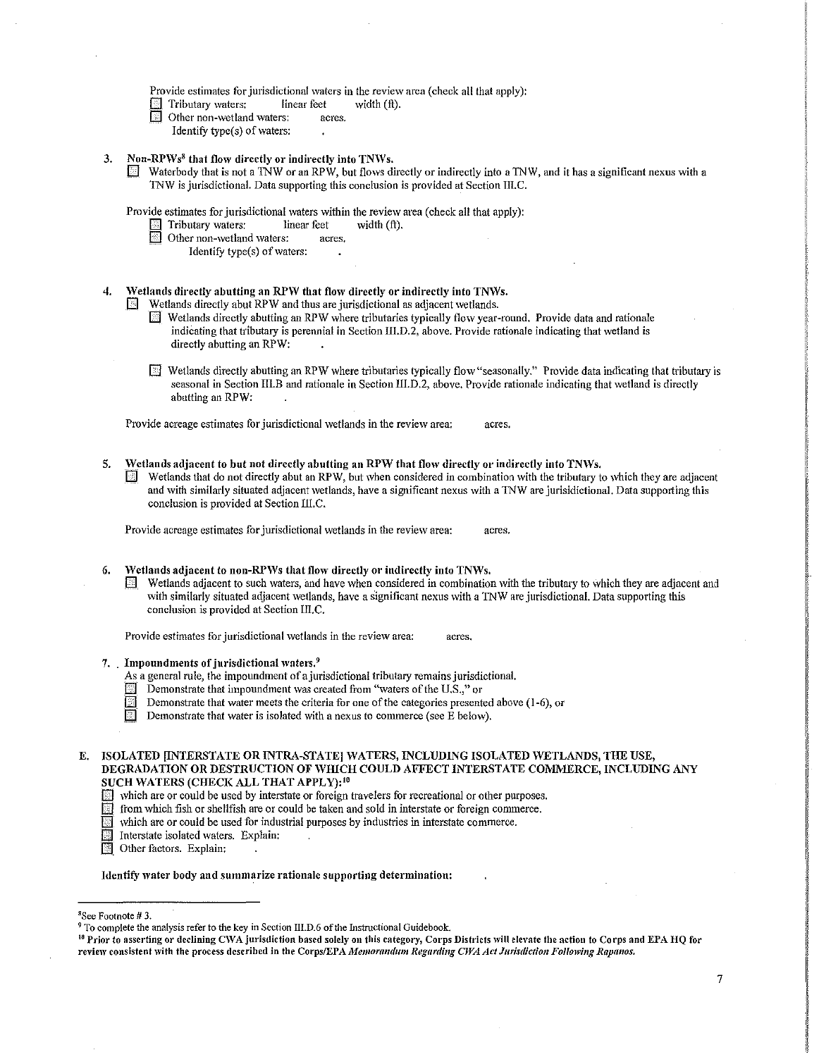Provide estimates for jurisdictional waters in the review area (check all that apply):<br> $\Box$  Tributary waters: linear feet width (ft).

- Tributary waters: linear feet  $\Box$  Tributary waters: acres.
- Other non-wetland waters:
- Identify type $(s)$  of waters:
- 3. Non-RPWs<sup>8</sup> that flow directly or indirectly into TNWs.
	- Waterbody that is not a TNW or an RPW, but flows directly or indirectly into a TNW, and it has a significant nexus with a TNW is jurisdictional. Data supporting this conclusion is provided at Section 111.C.

Provide estimates for jurisdictional waters within the review area (check all that apply):<br>  $\overline{\mathbb{R}}$  Tributary waters: linear feet width (ft).

- Tributary waters:
- Other non-wetland waters: acres.
	- Identify type( $s$ ) of waters:
- 4. Wetlands directly abutting an RPW that flow directly or indirectly into TNWs.

 $\Box$  Wetlands directly abut RPW and thus are jurisdictional as adjacent wetlands.

- $\boxtimes$  Wetlands directly abutting an RPW where tributaries typically flow year-round. Provide data and rationale indicating that tributary is perennial in Section III.D.2, above. Provide rationale indicating that wetland is directly abutting an RPW:
- $\mathbb{F}$  Wetlands directly abutting an RPW where tributaries typically flow "seasonally." Provide data indicating that tributary is seasonal in Section IIl.B and rationale in Section III.D.2, above. Provide rationale indicating that wetland is directly abutting an RPW:

Provide acreage estimates for jurisdictional wetlands in the review area: acres.

- 5. Wetlands adjacent to but not directly abutting an RPW that flow directly or indirectly into TNWs.
	- Wetlands that do not directly abut an RPW, but when considered in combination with the tributary to which they are adjacent and with similarly situated adjacent wetlands, have a significant nexus with a TNW are jurisidictional. Data supporting this conclusion is provided at Section lll.C.

Provide acreage estimates for jurisdictional wetlands in the review area: acres.

- 6. Wetlands adjacent to non-RPWs that flow directly or indirectly into TNWs.
	- Wetlands adjacent to such waters, and have when considered in combination with the tributary to which they are adjacent and with similarly situated adjacent wetlands, have a significant nexus with a TNW are jurisdictional. Data supporting this conclusion is provided at Section III.C.

Provide estimates for jurisdictional wetlands in the review area: acres.

- 7. Impoundments of jurisdictional waters.<sup>9</sup>
	- As a general rule, the impoundment of a jurisdictional tributary remains jurisdictional.
	- $\Box$  Demonstrate that impoundment was created from "waters of the U.S.," or
	- Demonstrate that water meets the criteria for one of the categories presented above (1-6), or
	- $\overline{\mathbb{E}}$  Demonstrate that water is isolated with a nexus to commerce (see E below).
- E. ISOLATED (INTERSTATE OR INTRA-STATE] WATERS, INCLUDING ISOLATED WETLANDS, THE USE, DEGRADATION OR DESTRUCTION OF WHICH COULD AFFECT INTERSTATE COMMERCE, INCLUDING ANY SUCH WATERS (CHECK ALL THAT APPLY):<sup>10</sup>
	- Which are or could be used by interstate or foreign travelers for recreational or other purposes.<br>
	Form which fish or shellfish are or could be taken and sold in interstate or foreign commerce.
	- from which fish or shellfish are or could be taken and sold in interstate or foreign commerce.<br>Which are or could be used for industrial purposes by industries in interstate commerce.
		- which are or could be used for industrial purposes by industries in interstate commerce.
		- Interstate isolated waters. Explain:
	- **following** Other factors. Explain:

Identify water body and summarize rationale supporting determination:

<sup>10</sup> Prior to asserting or declining CWA jurisdiction based solely on this category, Corps Districts will elevate the action to Corps and EPA HQ for review consistent with the process described in the Corps/EPA *Memorandum Regarding CWA Act Jurisdiction Following Rapanos.* 

<sup>&</sup>lt;sup>8</sup>See Footnote #3.

<sup>&</sup>lt;sup>9</sup> To complete the analysis refer to the key in Section III.D.6 of the Instructional Guidebook.